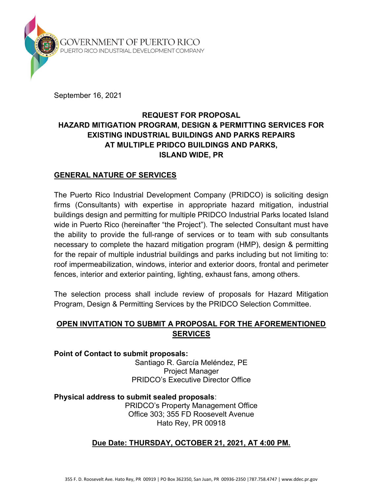

September 16, 2021

# REQUEST FOR PROPOSAL HAZARD MITIGATION PROGRAM, DESIGN & PERMITTING SERVICES FOR EXISTING INDUSTRIAL BUILDINGS AND PARKS REPAIRS AT MULTIPLE PRIDCO BUILDINGS AND PARKS, ISLAND WIDE, PR

#### GENERAL NATURE OF SERVICES

The Puerto Rico Industrial Development Company (PRIDCO) is soliciting design firms (Consultants) with expertise in appropriate hazard mitigation, industrial buildings design and permitting for multiple PRIDCO Industrial Parks located Island wide in Puerto Rico (hereinafter "the Project"). The selected Consultant must have the ability to provide the full-range of services or to team with sub consultants necessary to complete the hazard mitigation program (HMP), design & permitting for the repair of multiple industrial buildings and parks including but not limiting to: roof impermeabilization, windows, interior and exterior doors, frontal and perimeter fences, interior and exterior painting, lighting, exhaust fans, among others.

The selection process shall include review of proposals for Hazard Mitigation Program, Design & Permitting Services by the PRIDCO Selection Committee.

## OPEN INVITATION TO SUBMIT A PROPOSAL FOR THE AFOREMENTIONED **SERVICES**

Point of Contact to submit proposals: Santiago R. García Meléndez, PE Project Manager PRIDCO's Executive Director Office

Physical address to submit sealed proposals: PRIDCO's Property Management Office Office 303; 355 FD Roosevelt Avenue Hato Rey, PR 00918

### Due Date: THURSDAY, OCTOBER 21, 2021, AT 4:00 PM.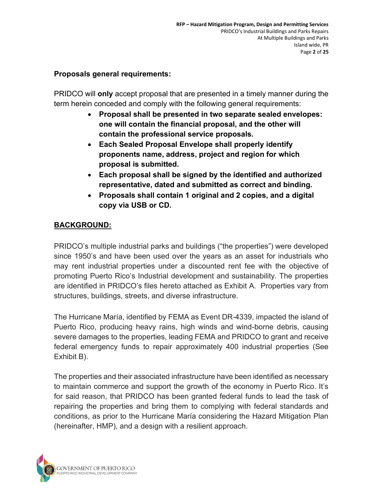#### Proposals general requirements:

PRIDCO will only accept proposal that are presented in a timely manner during the term herein conceded and comply with the following general requirements:

- Proposal shall be presented in two separate sealed envelopes: one will contain the financial proposal, and the other will contain the professional service proposals.
- Each Sealed Proposal Envelope shall properly identify proponents name, address, project and region for which proposal is submitted.
- Each proposal shall be signed by the identified and authorized representative, dated and submitted as correct and binding.
- Proposals shall contain 1 original and 2 copies, and a digital copy via USB or CD.

# BACKGROUND:

PRIDCO's multiple industrial parks and buildings ("the properties") were developed since 1950's and have been used over the years as an asset for industrials who may rent industrial properties under a discounted rent fee with the objective of promoting Puerto Rico's Industrial development and sustainability. The properties are identified in PRIDCO's files hereto attached as Exhibit A. Properties vary from structures, buildings, streets, and diverse infrastructure.

The Hurricane María, identified by FEMA as Event DR-4339, impacted the island of Puerto Rico, producing heavy rains, high winds and wind-borne debris, causing severe damages to the properties, leading FEMA and PRIDCO to grant and receive federal emergency funds to repair approximately 400 industrial properties (See Exhibit B).

The properties and their associated infrastructure have been identified as necessary to maintain commerce and support the growth of the economy in Puerto Rico. It's for said reason, that PRIDCO has been granted federal funds to lead the task of repairing the properties and bring them to complying with federal standards and conditions, as prior to the Hurricane María considering the Hazard Mitigation Plan (hereinafter, HMP), and a design with a resilient approach.

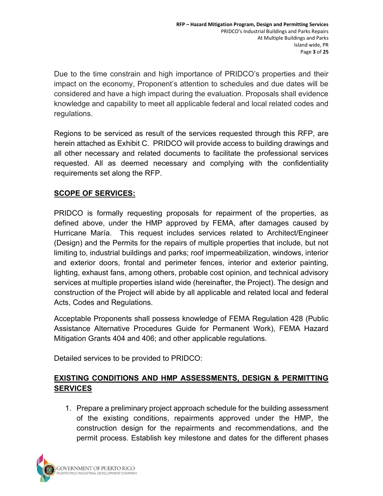Due to the time constrain and high importance of PRIDCO's properties and their impact on the economy, Proponent's attention to schedules and due dates will be considered and have a high impact during the evaluation. Proposals shall evidence knowledge and capability to meet all applicable federal and local related codes and regulations.

Regions to be serviced as result of the services requested through this RFP, are herein attached as Exhibit C. PRIDCO will provide access to building drawings and all other necessary and related documents to facilitate the professional services requested. All as deemed necessary and complying with the confidentiality requirements set along the RFP.

## SCOPE OF SERVICES:

PRIDCO is formally requesting proposals for repairment of the properties, as defined above, under the HMP approved by FEMA, after damages caused by Hurricane María. This request includes services related to Architect/Engineer (Design) and the Permits for the repairs of multiple properties that include, but not limiting to, industrial buildings and parks; roof impermeabilization, windows, interior and exterior doors, frontal and perimeter fences, interior and exterior painting, lighting, exhaust fans, among others, probable cost opinion, and technical advisory services at multiple properties island wide (hereinafter, the Project). The design and construction of the Project will abide by all applicable and related local and federal Acts, Codes and Regulations.

Acceptable Proponents shall possess knowledge of FEMA Regulation 428 (Public Assistance Alternative Procedures Guide for Permanent Work), FEMA Hazard Mitigation Grants 404 and 406; and other applicable regulations.

Detailed services to be provided to PRIDCO:

## EXISTING CONDITIONS AND HMP ASSESSMENTS, DESIGN & PERMITTING **SERVICES**

1. Prepare a preliminary project approach schedule for the building assessment of the existing conditions, repairments approved under the HMP, the construction design for the repairments and recommendations, and the permit process. Establish key milestone and dates for the different phases

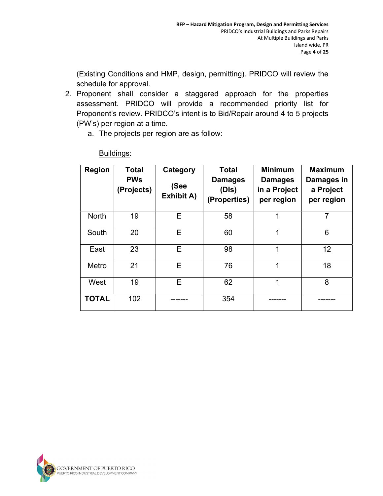(Existing Conditions and HMP, design, permitting). PRIDCO will review the schedule for approval.

- 2. Proponent shall consider a staggered approach for the properties assessment. PRIDCO will provide a recommended priority list for Proponent's review. PRIDCO's intent is to Bid/Repair around 4 to 5 projects (PW's) per region at a time.
	- a. The projects per region are as follow:

| <b>Region</b> | <b>Total</b><br><b>PWs</b><br>(Projects) | Category<br>(See<br><b>Exhibit A)</b> | <b>Total</b><br><b>Damages</b><br>(DIs)<br>(Properties) | <b>Minimum</b><br><b>Damages</b><br>in a Project<br>per region | <b>Maximum</b><br>Damages in<br>a Project<br>per region |
|---------------|------------------------------------------|---------------------------------------|---------------------------------------------------------|----------------------------------------------------------------|---------------------------------------------------------|
| <b>North</b>  | 19                                       | Е                                     | 58                                                      | 1                                                              | 7                                                       |
| South         | 20                                       | Е                                     | 60                                                      | 1                                                              | 6                                                       |
| East          | 23                                       | Е                                     | 98                                                      | $\mathbf{1}$                                                   | 12                                                      |
| Metro         | 21                                       | E                                     | 76                                                      | 1                                                              | 18                                                      |
| West          | 19                                       | E                                     | 62                                                      | 1                                                              | 8                                                       |
| <b>TOTAL</b>  | 102                                      |                                       | 354                                                     |                                                                |                                                         |

Buildings:

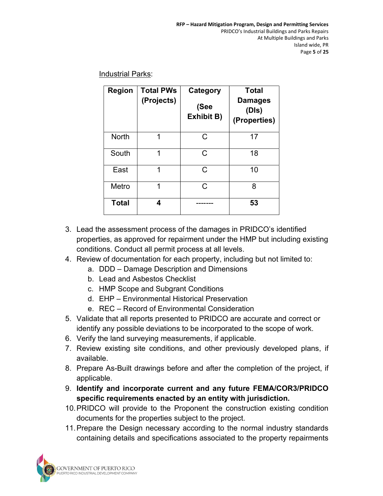Industrial Parks:

| <b>Region</b> | <b>Total PWs</b><br>(Projects) | Category<br>(See<br><b>Exhibit B)</b> | <b>Total</b><br><b>Damages</b><br>(DIs)<br>(Properties) |
|---------------|--------------------------------|---------------------------------------|---------------------------------------------------------|
| <b>North</b>  | 1                              | C                                     | 17                                                      |
| South         | 1                              | C                                     | 18                                                      |
| East          | 1                              | $\mathsf{C}$                          | 10                                                      |
| Metro         | 1                              | C                                     | 8                                                       |
| <b>Total</b>  | 4                              |                                       | 53                                                      |

- 3. Lead the assessment process of the damages in PRIDCO's identified properties, as approved for repairment under the HMP but including existing conditions. Conduct all permit process at all levels.
- 4. Review of documentation for each property, including but not limited to:
	- a. DDD Damage Description and Dimensions
	- b. Lead and Asbestos Checklist
	- c. HMP Scope and Subgrant Conditions
	- d. EHP Environmental Historical Preservation
	- e. REC Record of Environmental Consideration
- 5. Validate that all reports presented to PRIDCO are accurate and correct or identify any possible deviations to be incorporated to the scope of work.
- 6. Verify the land surveying measurements, if applicable.
- 7. Review existing site conditions, and other previously developed plans, if available.
- 8. Prepare As-Built drawings before and after the completion of the project, if applicable.
- 9. Identify and incorporate current and any future FEMA/COR3/PRIDCO specific requirements enacted by an entity with jurisdiction.
- 10. PRIDCO will provide to the Proponent the construction existing condition documents for the properties subject to the project.
- 11. Prepare the Design necessary according to the normal industry standards containing details and specifications associated to the property repairments

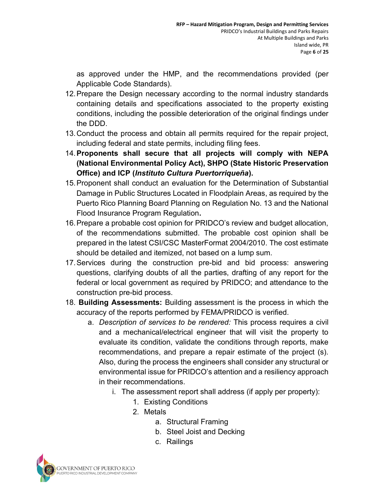as approved under the HMP, and the recommendations provided (per Applicable Code Standards).

- 12. Prepare the Design necessary according to the normal industry standards containing details and specifications associated to the property existing conditions, including the possible deterioration of the original findings under the DDD.
- 13. Conduct the process and obtain all permits required for the repair project, including federal and state permits, including filing fees.
- 14. Proponents shall secure that all projects will comply with NEPA (National Environmental Policy Act), SHPO (State Historic Preservation Office) and ICP (Instituto Cultura Puertorriqueña).
- 15. Proponent shall conduct an evaluation for the Determination of Substantial Damage in Public Structures Located in Floodplain Areas, as required by the Puerto Rico Planning Board Planning on Regulation No. 13 and the National Flood Insurance Program Regulation.
- 16. Prepare a probable cost opinion for PRIDCO's review and budget allocation, of the recommendations submitted. The probable cost opinion shall be prepared in the latest CSI/CSC MasterFormat 2004/2010. The cost estimate should be detailed and itemized, not based on a lump sum.
- 17. Services during the construction pre-bid and bid process: answering questions, clarifying doubts of all the parties, drafting of any report for the federal or local government as required by PRIDCO; and attendance to the construction pre-bid process.
- 18. Building Assessments: Building assessment is the process in which the accuracy of the reports performed by FEMA/PRIDCO is verified.
	- a. Description of services to be rendered: This process requires a civil and a mechanical/electrical engineer that will visit the property to evaluate its condition, validate the conditions through reports, make recommendations, and prepare a repair estimate of the project (s). Also, during the process the engineers shall consider any structural or environmental issue for PRIDCO's attention and a resiliency approach in their recommendations.
		- i. The assessment report shall address (if apply per property):
			- 1. Existing Conditions
			- 2. Metals
				- a. Structural Framing
				- b. Steel Joist and Decking
				- c. Railings

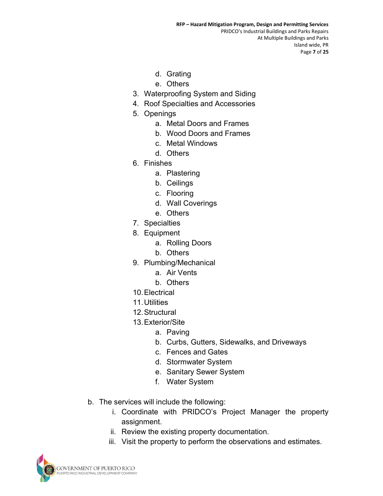- d. Grating
- e. Others
- 3. Waterproofing System and Siding
- 4. Roof Specialties and Accessories
- 5. Openings
	- a. Metal Doors and Frames
	- b. Wood Doors and Frames
	- c. Metal Windows
	- d. Others
- 6. Finishes
	- a. Plastering
	- b. Ceilings
	- c. Flooring
	- d. Wall Coverings
	- e. Others
- 7. Specialties
- 8. Equipment
	- a. Rolling Doors
	- b. Others
- 9. Plumbing/Mechanical
	- a. Air Vents
	- b. Others
- 10. Electrical
- 11. Utilities
- 12. Structural
- 13. Exterior/Site
	- a. Paving
	- b. Curbs, Gutters, Sidewalks, and Driveways
	- c. Fences and Gates
	- d. Stormwater System
	- e. Sanitary Sewer System
	- f. Water System
- b. The services will include the following:
	- i. Coordinate with PRIDCO's Project Manager the property assignment.
	- ii. Review the existing property documentation.
	- iii. Visit the property to perform the observations and estimates.

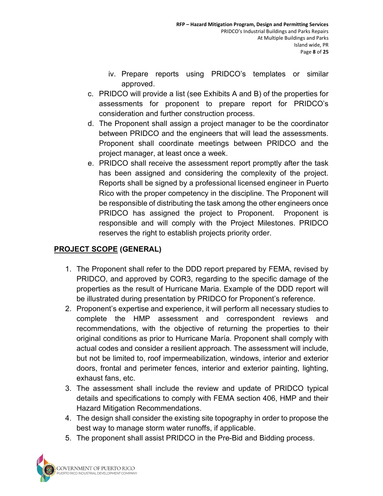- iv. Prepare reports using PRIDCO's templates or similar approved.
- c. PRIDCO will provide a list (see Exhibits A and B) of the properties for assessments for proponent to prepare report for PRIDCO's consideration and further construction process.
- d. The Proponent shall assign a project manager to be the coordinator between PRIDCO and the engineers that will lead the assessments. Proponent shall coordinate meetings between PRIDCO and the project manager, at least once a week.
- e. PRIDCO shall receive the assessment report promptly after the task has been assigned and considering the complexity of the project. Reports shall be signed by a professional licensed engineer in Puerto Rico with the proper competency in the discipline. The Proponent will be responsible of distributing the task among the other engineers once PRIDCO has assigned the project to Proponent. Proponent is responsible and will comply with the Project Milestones. PRIDCO reserves the right to establish projects priority order.

# PROJECT SCOPE (GENERAL)

- 1. The Proponent shall refer to the DDD report prepared by FEMA, revised by PRIDCO, and approved by COR3, regarding to the specific damage of the properties as the result of Hurricane Maria. Example of the DDD report will be illustrated during presentation by PRIDCO for Proponent's reference.
- 2. Proponent's expertise and experience, it will perform all necessary studies to complete the HMP assessment and correspondent reviews and recommendations, with the objective of returning the properties to their original conditions as prior to Hurricane María. Proponent shall comply with actual codes and consider a resilient approach. The assessment will include, but not be limited to, roof impermeabilization, windows, interior and exterior doors, frontal and perimeter fences, interior and exterior painting, lighting, exhaust fans, etc.
- 3. The assessment shall include the review and update of PRIDCO typical details and specifications to comply with FEMA section 406, HMP and their Hazard Mitigation Recommendations.
- 4. The design shall consider the existing site topography in order to propose the best way to manage storm water runoffs, if applicable.
- 5. The proponent shall assist PRIDCO in the Pre-Bid and Bidding process.

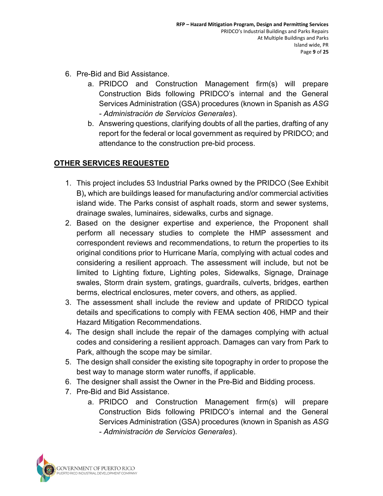- 6. Pre-Bid and Bid Assistance.
	- a. PRIDCO and Construction Management firm(s) will prepare Construction Bids following PRIDCO's internal and the General Services Administration (GSA) procedures (known in Spanish as ASG - Administración de Servicios Generales).
	- b. Answering questions, clarifying doubts of all the parties, drafting of any report for the federal or local government as required by PRIDCO; and attendance to the construction pre-bid process.

# OTHER SERVICES REQUESTED

- 1. This project includes 53 Industrial Parks owned by the PRIDCO (See Exhibit B), which are buildings leased for manufacturing and/or commercial activities island wide. The Parks consist of asphalt roads, storm and sewer systems, drainage swales, luminaires, sidewalks, curbs and signage.
- 2. Based on the designer expertise and experience, the Proponent shall perform all necessary studies to complete the HMP assessment and correspondent reviews and recommendations, to return the properties to its original conditions prior to Hurricane María, complying with actual codes and considering a resilient approach. The assessment will include, but not be limited to Lighting fixture, Lighting poles, Sidewalks, Signage, Drainage swales, Storm drain system, gratings, guardrails, culverts, bridges, earthen berms, electrical enclosures, meter covers, and others, as applied.
- 3. The assessment shall include the review and update of PRIDCO typical details and specifications to comply with FEMA section 406, HMP and their Hazard Mitigation Recommendations.
- 4. The design shall include the repair of the damages complying with actual codes and considering a resilient approach. Damages can vary from Park to Park, although the scope may be similar.
- 5. The design shall consider the existing site topography in order to propose the best way to manage storm water runoffs, if applicable.
- 6. The designer shall assist the Owner in the Pre-Bid and Bidding process.
- 7. Pre-Bid and Bid Assistance.
	- a. PRIDCO and Construction Management firm(s) will prepare Construction Bids following PRIDCO's internal and the General Services Administration (GSA) procedures (known in Spanish as ASG - Administración de Servicios Generales).

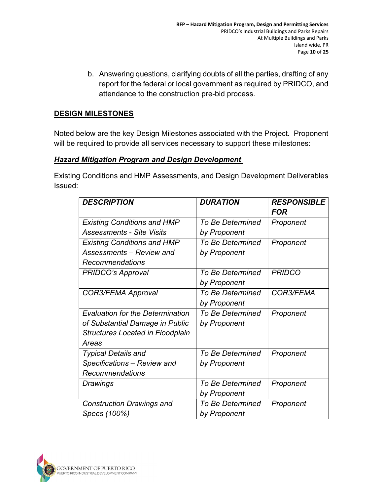b. Answering questions, clarifying doubts of all the parties, drafting of any report for the federal or local government as required by PRIDCO, and attendance to the construction pre-bid process.

### DESIGN MILESTONES

Noted below are the key Design Milestones associated with the Project. Proponent will be required to provide all services necessary to support these milestones:

#### **Hazard Mitigation Program and Design Development**

Existing Conditions and HMP Assessments, and Design Development Deliverables Issued:

| <b>DESCRIPTION</b>                      | <b>DURATION</b>         | <b>RESPONSIBLE</b><br><b>FOR</b> |
|-----------------------------------------|-------------------------|----------------------------------|
| <b>Existing Conditions and HMP</b>      | <b>To Be Determined</b> | Proponent                        |
| <b>Assessments - Site Visits</b>        | by Proponent            |                                  |
| <b>Existing Conditions and HMP</b>      | <b>To Be Determined</b> | Proponent                        |
| Assessments – Review and                | by Proponent            |                                  |
| Recommendations                         |                         |                                  |
| <b>PRIDCO's Approval</b>                | <b>To Be Determined</b> | <b>PRIDCO</b>                    |
|                                         | by Proponent            |                                  |
| COR3/FEMA Approval                      | <b>To Be Determined</b> | <b>COR3/FEMA</b>                 |
|                                         | by Proponent            |                                  |
| <b>Evaluation for the Determination</b> | <b>To Be Determined</b> | Proponent                        |
| of Substantial Damage in Public         | by Proponent            |                                  |
| <b>Structures Located in Floodplain</b> |                         |                                  |
| Areas                                   |                         |                                  |
| <b>Typical Details and</b>              | <b>To Be Determined</b> | Proponent                        |
| Specifications - Review and             | by Proponent            |                                  |
| Recommendations                         |                         |                                  |
| Drawings                                | To Be Determined        | Proponent                        |
|                                         | by Proponent            |                                  |
| <b>Construction Drawings and</b>        | <b>To Be Determined</b> | Proponent                        |
| Specs (100%)                            | by Proponent            |                                  |

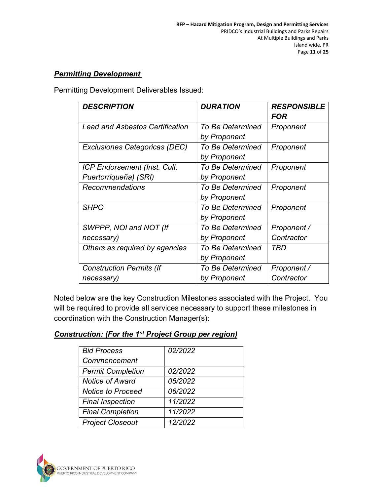### **Permitting Development**

Permitting Development Deliverables Issued:

| <b>DESCRIPTION</b>                     | <b>DURATION</b>         | <b>RESPONSIBLE</b><br>FOR |
|----------------------------------------|-------------------------|---------------------------|
| <b>Lead and Asbestos Certification</b> | <b>To Be Determined</b> | Proponent                 |
|                                        | by Proponent            |                           |
| Exclusiones Categoricas (DEC)          | <b>To Be Determined</b> | Proponent                 |
|                                        | by Proponent            |                           |
| <b>ICP Endorsement (Inst. Cult.</b>    | <b>To Be Determined</b> | Proponent                 |
| Puertorriqueña) (SRI)                  | by Proponent            |                           |
| Recommendations                        | <b>To Be Determined</b> | Proponent                 |
|                                        | by Proponent            |                           |
| <b>SHPO</b>                            | <b>To Be Determined</b> | Proponent                 |
|                                        | by Proponent            |                           |
| SWPPP, NOI and NOT (If                 | <b>To Be Determined</b> | Proponent /               |
| necessary)                             | by Proponent            | Contractor                |
| Others as required by agencies         | <b>To Be Determined</b> | TBD                       |
|                                        | by Proponent            |                           |
| <b>Construction Permits (If</b>        | <b>To Be Determined</b> | Proponent /               |
| necessary)                             | by Proponent            | Contractor                |

Noted below are the key Construction Milestones associated with the Project. You will be required to provide all services necessary to support these milestones in coordination with the Construction Manager(s):

#### Construction: (For the 1st Project Group per region)

| <b>Bid Process</b>       | 02/2022 |
|--------------------------|---------|
| Commencement             |         |
| <b>Permit Completion</b> | 02/2022 |
| <b>Notice of Award</b>   | 05/2022 |
| <b>Notice to Proceed</b> | 06/2022 |
| <b>Final Inspection</b>  | 11/2022 |
| <b>Final Completion</b>  | 11/2022 |
| <b>Project Closeout</b>  | 12/2022 |

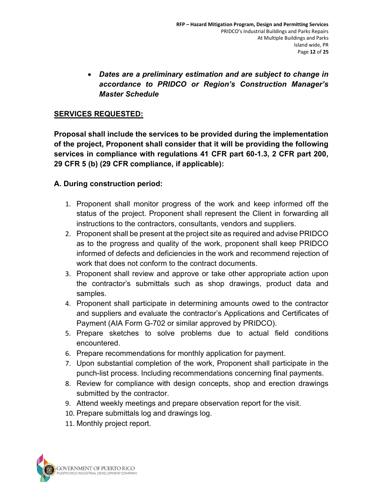Dates are a preliminary estimation and are subject to change in accordance to PRIDCO or Region's Construction Manager's Master Schedule

#### SERVICES REQUESTED:

Proposal shall include the services to be provided during the implementation of the project, Proponent shall consider that it will be providing the following services in compliance with regulations 41 CFR part 60-1.3, 2 CFR part 200, 29 CFR 5 (b) (29 CFR compliance, if applicable):

#### A. During construction period:

- 1. Proponent shall monitor progress of the work and keep informed off the status of the project. Proponent shall represent the Client in forwarding all instructions to the contractors, consultants, vendors and suppliers.
- 2. Proponent shall be present at the project site as required and advise PRIDCO as to the progress and quality of the work, proponent shall keep PRIDCO informed of defects and deficiencies in the work and recommend rejection of work that does not conform to the contract documents.
- 3. Proponent shall review and approve or take other appropriate action upon the contractor's submittals such as shop drawings, product data and samples.
- 4. Proponent shall participate in determining amounts owed to the contractor and suppliers and evaluate the contractor's Applications and Certificates of Payment (AIA Form G-702 or similar approved by PRIDCO).
- 5. Prepare sketches to solve problems due to actual field conditions encountered.
- 6. Prepare recommendations for monthly application for payment.
- 7. Upon substantial completion of the work, Proponent shall participate in the punch-list process. Including recommendations concerning final payments.
- 8. Review for compliance with design concepts, shop and erection drawings submitted by the contractor.
- 9. Attend weekly meetings and prepare observation report for the visit.
- 10. Prepare submittals log and drawings log.
- 11. Monthly project report.

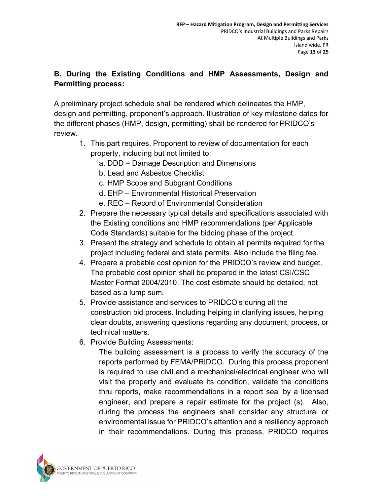# B. During the Existing Conditions and HMP Assessments, Design and Permitting process:

A preliminary project schedule shall be rendered which delineates the HMP, design and permitting, proponent's approach. Illustration of key milestone dates for the different phases (HMP, design, permitting) shall be rendered for PRIDCO's review.

- 1. This part requires, Proponent to review of documentation for each property, including but not limited to:
	- a. DDD Damage Description and Dimensions
	- b. Lead and Asbestos Checklist
	- c. HMP Scope and Subgrant Conditions
	- d. EHP Environmental Historical Preservation
	- e. REC Record of Environmental Consideration
- 2. Prepare the necessary typical details and specifications associated with the Existing conditions and HMP recommendations (per Applicable Code Standards) suitable for the bidding phase of the project.
- 3. Present the strategy and schedule to obtain all permits required for the project including federal and state permits. Also include the filing fee.
- 4. Prepare a probable cost opinion for the PRIDCO's review and budget. The probable cost opinion shall be prepared in the latest CSI/CSC Master Format 2004/2010. The cost estimate should be detailed, not based as a lump sum.
- 5. Provide assistance and services to PRIDCO's during all the construction bid process. Including helping in clarifying issues, helping clear doubts, answering questions regarding any document, process, or technical matters.
- 6. Provide Building Assessments:

The building assessment is a process to verify the accuracy of the reports performed by FEMA/PRIDCO. During this process proponent is required to use civil and a mechanical/electrical engineer who will visit the property and evaluate its condition, validate the conditions thru reports, make recommendations in a report seal by a licensed engineer, and prepare a repair estimate for the project (s). Also, during the process the engineers shall consider any structural or environmental issue for PRIDCO's attention and a resiliency approach in their recommendations. During this process, PRIDCO requires

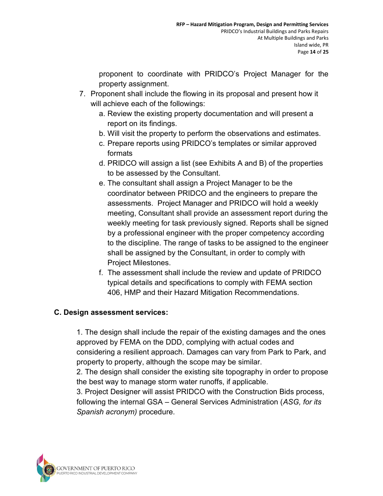proponent to coordinate with PRIDCO's Project Manager for the property assignment.

- 7. Proponent shall include the flowing in its proposal and present how it will achieve each of the followings:
	- a. Review the existing property documentation and will present a report on its findings.
	- b. Will visit the property to perform the observations and estimates.
	- c. Prepare reports using PRIDCO's templates or similar approved formats
	- d. PRIDCO will assign a list (see Exhibits A and B) of the properties to be assessed by the Consultant.
	- e. The consultant shall assign a Project Manager to be the coordinator between PRIDCO and the engineers to prepare the assessments. Project Manager and PRIDCO will hold a weekly meeting, Consultant shall provide an assessment report during the weekly meeting for task previously signed. Reports shall be signed by a professional engineer with the proper competency according to the discipline. The range of tasks to be assigned to the engineer shall be assigned by the Consultant, in order to comply with Project Milestones.
	- f. The assessment shall include the review and update of PRIDCO typical details and specifications to comply with FEMA section 406, HMP and their Hazard Mitigation Recommendations.

# C. Design assessment services:

1. The design shall include the repair of the existing damages and the ones approved by FEMA on the DDD, complying with actual codes and considering a resilient approach. Damages can vary from Park to Park, and property to property, although the scope may be similar.

2. The design shall consider the existing site topography in order to propose the best way to manage storm water runoffs, if applicable.

3. Project Designer will assist PRIDCO with the Construction Bids process, following the internal GSA – General Services Administration (ASG, for its Spanish acronym) procedure.

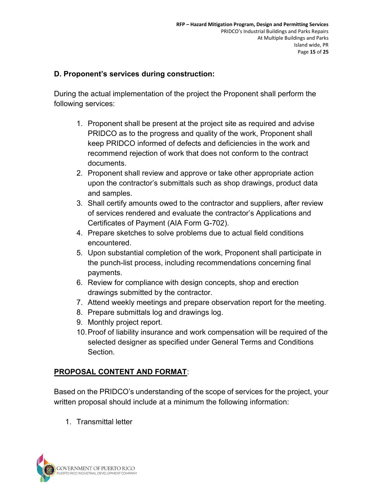#### D. Proponent's services during construction:

During the actual implementation of the project the Proponent shall perform the following services:

- 1. Proponent shall be present at the project site as required and advise PRIDCO as to the progress and quality of the work, Proponent shall keep PRIDCO informed of defects and deficiencies in the work and recommend rejection of work that does not conform to the contract documents.
- 2. Proponent shall review and approve or take other appropriate action upon the contractor's submittals such as shop drawings, product data and samples.
- 3. Shall certify amounts owed to the contractor and suppliers, after review of services rendered and evaluate the contractor's Applications and Certificates of Payment (AIA Form G-702).
- 4. Prepare sketches to solve problems due to actual field conditions encountered.
- 5. Upon substantial completion of the work, Proponent shall participate in the punch-list process, including recommendations concerning final payments.
- 6. Review for compliance with design concepts, shop and erection drawings submitted by the contractor.
- 7. Attend weekly meetings and prepare observation report for the meeting.
- 8. Prepare submittals log and drawings log.
- 9. Monthly project report.
- 10. Proof of liability insurance and work compensation will be required of the selected designer as specified under General Terms and Conditions Section.

### PROPOSAL CONTENT AND FORMAT:

Based on the PRIDCO's understanding of the scope of services for the project, your written proposal should include at a minimum the following information:

1. Transmittal letter

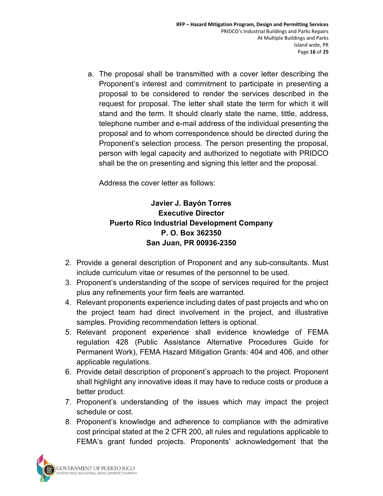a. The proposal shall be transmitted with a cover letter describing the Proponent's interest and commitment to participate in presenting a proposal to be considered to render the services described in the request for proposal. The letter shall state the term for which it will stand and the term. It should clearly state the name, tittle, address, telephone number and e-mail address of the individual presenting the proposal and to whom correspondence should be directed during the Proponent's selection process. The person presenting the proposal, person with legal capacity and authorized to negotiate with PRIDCO shall be the on presenting and signing this letter and the proposal.

Address the cover letter as follows:

# Javier J. Bayón Torres Executive Director Puerto Rico Industrial Development Company P. O. Box 362350 San Juan, PR 00936-2350

- 2. Provide a general description of Proponent and any sub-consultants. Must include curriculum vitae or resumes of the personnel to be used.
- 3. Proponent's understanding of the scope of services required for the project plus any refinements your firm feels are warranted.
- 4. Relevant proponents experience including dates of past projects and who on the project team had direct involvement in the project, and illustrative samples. Providing recommendation letters is optional.
- 5. Relevant proponent experience shall evidence knowledge of FEMA regulation 428 (Public Assistance Alternative Procedures Guide for Permanent Work), FEMA Hazard Mitigation Grants: 404 and 406, and other applicable regulations.
- 6. Provide detail description of proponent's approach to the project. Proponent shall highlight any innovative ideas it may have to reduce costs or produce a better product.
- 7. Proponent's understanding of the issues which may impact the project schedule or cost.
- 8. Proponent's knowledge and adherence to compliance with the admirative cost principal stated at the 2 CFR 200, all rules and regulations applicable to FEMA's grant funded projects. Proponents' acknowledgement that the

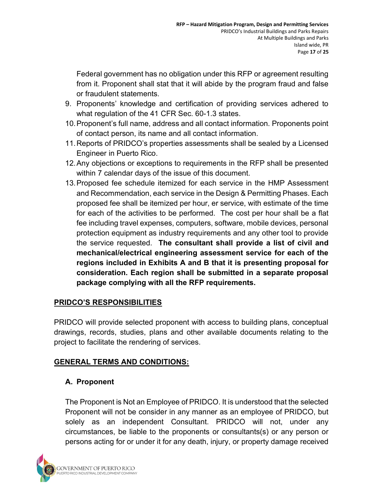Federal government has no obligation under this RFP or agreement resulting from it. Proponent shall stat that it will abide by the program fraud and false or fraudulent statements.

- 9. Proponents' knowledge and certification of providing services adhered to what regulation of the 41 CFR Sec. 60-1.3 states.
- 10. Proponent's full name, address and all contact information. Proponents point of contact person, its name and all contact information.
- 11. Reports of PRIDCO's properties assessments shall be sealed by a Licensed Engineer in Puerto Rico.
- 12. Any objections or exceptions to requirements in the RFP shall be presented within 7 calendar days of the issue of this document.
- 13. Proposed fee schedule itemized for each service in the HMP Assessment and Recommendation, each service in the Design & Permitting Phases. Each proposed fee shall be itemized per hour, er service, with estimate of the time for each of the activities to be performed. The cost per hour shall be a flat fee including travel expenses, computers, software, mobile devices, personal protection equipment as industry requirements and any other tool to provide the service requested. The consultant shall provide a list of civil and mechanical/electrical engineering assessment service for each of the regions included in Exhibits A and B that it is presenting proposal for consideration. Each region shall be submitted in a separate proposal package complying with all the RFP requirements.

# PRIDCO'S RESPONSIBILITIES

PRIDCO will provide selected proponent with access to building plans, conceptual drawings, records, studies, plans and other available documents relating to the project to facilitate the rendering of services.

# GENERAL TERMS AND CONDITIONS:

# A. Proponent

The Proponent is Not an Employee of PRIDCO. It is understood that the selected Proponent will not be consider in any manner as an employee of PRIDCO, but solely as an independent Consultant. PRIDCO will not, under any circumstances, be liable to the proponents or consultants(s) or any person or persons acting for or under it for any death, injury, or property damage received

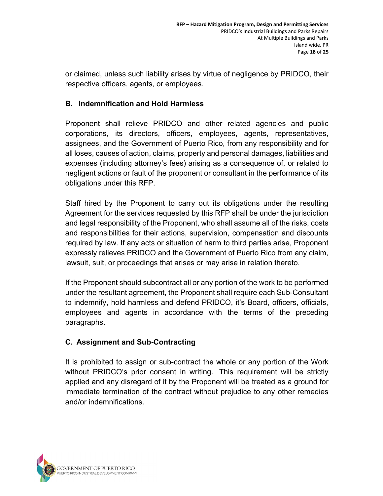or claimed, unless such liability arises by virtue of negligence by PRIDCO, their respective officers, agents, or employees.

### B. Indemnification and Hold Harmless

Proponent shall relieve PRIDCO and other related agencies and public corporations, its directors, officers, employees, agents, representatives, assignees, and the Government of Puerto Rico, from any responsibility and for all loses, causes of action, claims, property and personal damages, liabilities and expenses (including attorney's fees) arising as a consequence of, or related to negligent actions or fault of the proponent or consultant in the performance of its obligations under this RFP.

Staff hired by the Proponent to carry out its obligations under the resulting Agreement for the services requested by this RFP shall be under the jurisdiction and legal responsibility of the Proponent, who shall assume all of the risks, costs and responsibilities for their actions, supervision, compensation and discounts required by law. If any acts or situation of harm to third parties arise, Proponent expressly relieves PRIDCO and the Government of Puerto Rico from any claim, lawsuit, suit, or proceedings that arises or may arise in relation thereto.

If the Proponent should subcontract all or any portion of the work to be performed under the resultant agreement, the Proponent shall require each Sub-Consultant to indemnify, hold harmless and defend PRIDCO, it's Board, officers, officials, employees and agents in accordance with the terms of the preceding paragraphs.

### C. Assignment and Sub-Contracting

It is prohibited to assign or sub-contract the whole or any portion of the Work without PRIDCO's prior consent in writing. This requirement will be strictly applied and any disregard of it by the Proponent will be treated as a ground for immediate termination of the contract without prejudice to any other remedies and/or indemnifications.

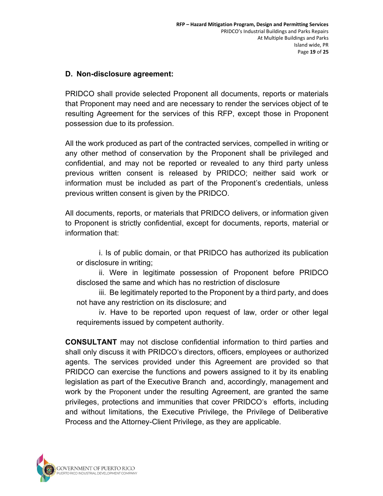#### D. Non-disclosure agreement:

PRIDCO shall provide selected Proponent all documents, reports or materials that Proponent may need and are necessary to render the services object of te resulting Agreement for the services of this RFP, except those in Proponent possession due to its profession.

All the work produced as part of the contracted services, compelled in writing or any other method of conservation by the Proponent shall be privileged and confidential, and may not be reported or revealed to any third party unless previous written consent is released by PRIDCO; neither said work or information must be included as part of the Proponent's credentials, unless previous written consent is given by the PRIDCO.

All documents, reports, or materials that PRIDCO delivers, or information given to Proponent is strictly confidential, except for documents, reports, material or information that:

i. Is of public domain, or that PRIDCO has authorized its publication or disclosure in writing;

ii. Were in legitimate possession of Proponent before PRIDCO disclosed the same and which has no restriction of disclosure

iii. Be legitimately reported to the Proponent by a third party, and does not have any restriction on its disclosure; and

iv. Have to be reported upon request of law, order or other legal requirements issued by competent authority.

CONSULTANT may not disclose confidential information to third parties and shall only discuss it with PRIDCO's directors, officers, employees or authorized agents. The services provided under this Agreement are provided so that PRIDCO can exercise the functions and powers assigned to it by its enabling legislation as part of the Executive Branch and, accordingly, management and work by the Proponent under the resulting Agreement, are granted the same privileges, protections and immunities that cover PRIDCO's efforts, including and without limitations, the Executive Privilege, the Privilege of Deliberative Process and the Attorney-Client Privilege, as they are applicable.

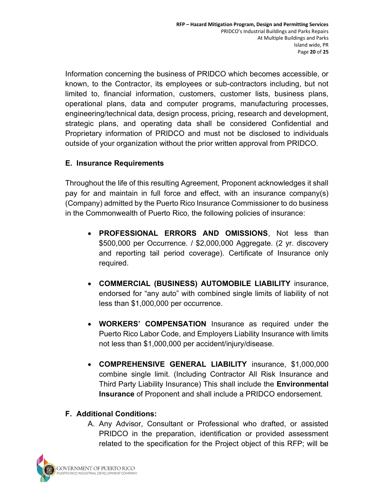Information concerning the business of PRIDCO which becomes accessible, or known, to the Contractor, its employees or sub-contractors including, but not limited to, financial information, customers, customer lists, business plans, operational plans, data and computer programs, manufacturing processes, engineering/technical data, design process, pricing, research and development, strategic plans, and operating data shall be considered Confidential and Proprietary information of PRIDCO and must not be disclosed to individuals outside of your organization without the prior written approval from PRIDCO.

## E. Insurance Requirements

Throughout the life of this resulting Agreement, Proponent acknowledges it shall pay for and maintain in full force and effect, with an insurance company(s) (Company) admitted by the Puerto Rico Insurance Commissioner to do business in the Commonwealth of Puerto Rico, the following policies of insurance:

- PROFESSIONAL ERRORS AND OMISSIONS, Not less than \$500,000 per Occurrence. / \$2,000,000 Aggregate. (2 yr. discovery and reporting tail period coverage). Certificate of Insurance only required.
- COMMERCIAL (BUSINESS) AUTOMOBILE LIABILITY insurance, endorsed for "any auto" with combined single limits of liability of not less than \$1,000,000 per occurrence.
- WORKERS' COMPENSATION Insurance as required under the Puerto Rico Labor Code, and Employers Liability Insurance with limits not less than \$1,000,000 per accident/injury/disease.
- COMPREHENSIVE GENERAL LIABILITY insurance, \$1,000,000 combine single limit. (Including Contractor All Risk Insurance and Third Party Liability Insurance) This shall include the Environmental Insurance of Proponent and shall include a PRIDCO endorsement.

# F. Additional Conditions:

A. Any Advisor, Consultant or Professional who drafted, or assisted PRIDCO in the preparation, identification or provided assessment related to the specification for the Project object of this RFP; will be

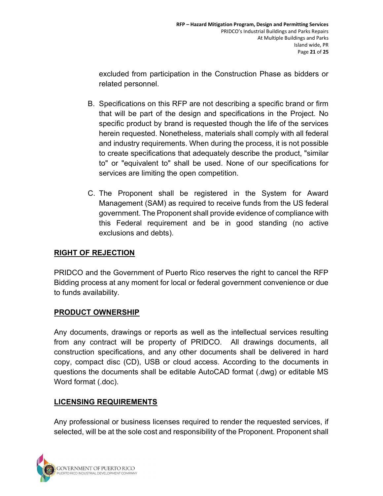excluded from participation in the Construction Phase as bidders or related personnel.

- B. Specifications on this RFP are not describing a specific brand or firm that will be part of the design and specifications in the Project. No specific product by brand is requested though the life of the services herein requested. Nonetheless, materials shall comply with all federal and industry requirements. When during the process, it is not possible to create specifications that adequately describe the product, "similar to" or "equivalent to" shall be used. None of our specifications for services are limiting the open competition.
- C. The Proponent shall be registered in the System for Award Management (SAM) as required to receive funds from the US federal government. The Proponent shall provide evidence of compliance with this Federal requirement and be in good standing (no active exclusions and debts).

# RIGHT OF REJECTION

PRIDCO and the Government of Puerto Rico reserves the right to cancel the RFP Bidding process at any moment for local or federal government convenience or due to funds availability.

# PRODUCT OWNERSHIP

Any documents, drawings or reports as well as the intellectual services resulting from any contract will be property of PRIDCO. All drawings documents, all construction specifications, and any other documents shall be delivered in hard copy, compact disc (CD), USB or cloud access. According to the documents in questions the documents shall be editable AutoCAD format (.dwg) or editable MS Word format (.doc).

# LICENSING REQUIREMENTS

Any professional or business licenses required to render the requested services, if selected, will be at the sole cost and responsibility of the Proponent. Proponent shall

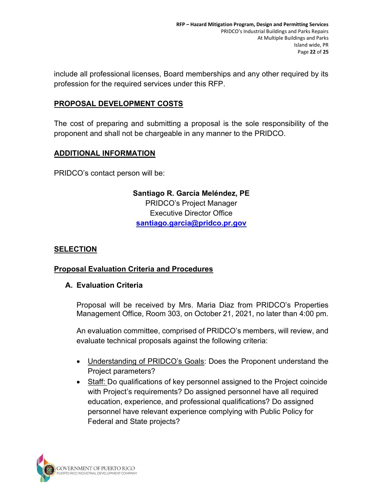include all professional licenses, Board memberships and any other required by its profession for the required services under this RFP.

## PROPOSAL DEVELOPMENT COSTS

The cost of preparing and submitting a proposal is the sole responsibility of the proponent and shall not be chargeable in any manner to the PRIDCO.

## ADDITIONAL INFORMATION

PRIDCO's contact person will be:

Santiago R. García Meléndez, PE PRIDCO's Project Manager Executive Director Office santiago.garcia@pridco.pr.gov

### **SELECTION**

### Proposal Evaluation Criteria and Procedures

#### A. Evaluation Criteria

Proposal will be received by Mrs. Maria Diaz from PRIDCO's Properties Management Office, Room 303, on October 21, 2021, no later than 4:00 pm.

An evaluation committee, comprised of PRIDCO's members, will review, and evaluate technical proposals against the following criteria:

- Understanding of PRIDCO's Goals: Does the Proponent understand the Project parameters?
- Staff: Do qualifications of key personnel assigned to the Project coincide with Project's requirements? Do assigned personnel have all required education, experience, and professional qualifications? Do assigned personnel have relevant experience complying with Public Policy for Federal and State projects?

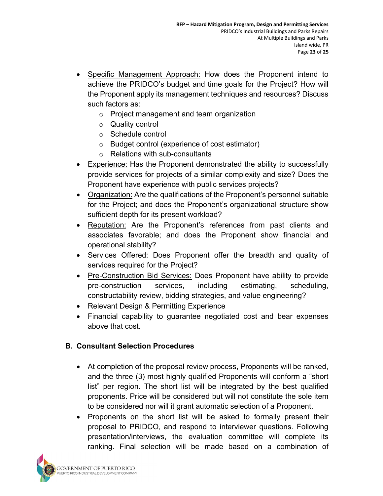- Specific Management Approach: How does the Proponent intend to achieve the PRIDCO's budget and time goals for the Project? How will the Proponent apply its management techniques and resources? Discuss such factors as:
	- o Project management and team organization
	- o Quality control
	- o Schedule control
	- o Budget control (experience of cost estimator)
	- o Relations with sub-consultants
- Experience: Has the Proponent demonstrated the ability to successfully provide services for projects of a similar complexity and size? Does the Proponent have experience with public services projects?
- Organization: Are the qualifications of the Proponent's personnel suitable for the Project; and does the Proponent's organizational structure show sufficient depth for its present workload?
- Reputation: Are the Proponent's references from past clients and associates favorable; and does the Proponent show financial and operational stability?
- Services Offered: Does Proponent offer the breadth and quality of services required for the Project?
- Pre-Construction Bid Services: Does Proponent have ability to provide pre-construction services, including estimating, scheduling, constructability review, bidding strategies, and value engineering?
- Relevant Design & Permitting Experience
- Financial capability to guarantee negotiated cost and bear expenses above that cost.

### B. Consultant Selection Procedures

- At completion of the proposal review process, Proponents will be ranked, and the three (3) most highly qualified Proponents will conform a "short list" per region. The short list will be integrated by the best qualified proponents. Price will be considered but will not constitute the sole item to be considered nor will it grant automatic selection of a Proponent.
- Proponents on the short list will be asked to formally present their proposal to PRIDCO, and respond to interviewer questions. Following presentation/interviews, the evaluation committee will complete its ranking. Final selection will be made based on a combination of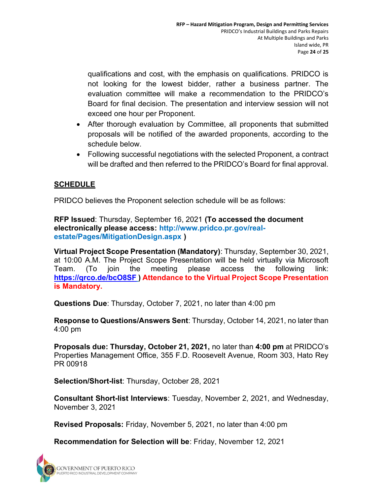qualifications and cost, with the emphasis on qualifications. PRIDCO is not looking for the lowest bidder, rather a business partner. The evaluation committee will make a recommendation to the PRIDCO's Board for final decision. The presentation and interview session will not exceed one hour per Proponent.

- After thorough evaluation by Committee, all proponents that submitted proposals will be notified of the awarded proponents, according to the schedule below.
- Following successful negotiations with the selected Proponent, a contract will be drafted and then referred to the PRIDCO's Board for final approval.

## **SCHEDULE**

PRIDCO believes the Proponent selection schedule will be as follows:

RFP Issued: Thursday, September 16, 2021 (To accessed the document electronically please access: http://www.pridco.pr.gov/realestate/Pages/MitigationDesign.aspx )

Virtual Project Scope Presentation (Mandatory): Thursday, September 30, 2021, at 10:00 A.M. The Project Scope Presentation will be held virtually via Microsoft Team. (To join the meeting please access the following link: https://qrco.de/bcO8SF ) Attendance to the Virtual Project Scope Presentation is Mandatory.

Questions Due: Thursday, October 7, 2021, no later than 4:00 pm

Response to Questions/Answers Sent: Thursday, October 14, 2021, no later than 4:00 pm

Proposals due: Thursday, October 21, 2021, no later than 4:00 pm at PRIDCO's Properties Management Office, 355 F.D. Roosevelt Avenue, Room 303, Hato Rey PR 00918

Selection/Short-list: Thursday, October 28, 2021

Consultant Short-list Interviews: Tuesday, November 2, 2021, and Wednesday, November 3, 2021

Revised Proposals: Friday, November 5, 2021, no later than 4:00 pm

Recommendation for Selection will be: Friday, November 12, 2021